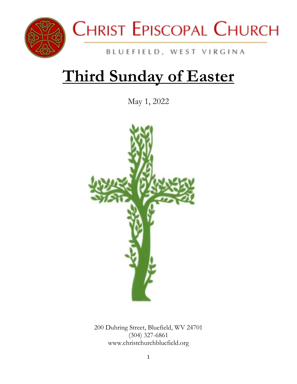

**CHRIST EPISCOPAL CHURCH** 

## BLUEFIELD, WEST VIRGINA

# **Third Sunday of Easter**

May 1, 2022



200 Duhring Street, Bluefield, WV 24701 (304) 327-6861 www.christchurchbluefield.org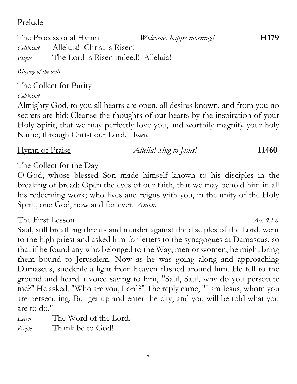## Prelude

## The Processional Hymn *Welcome, happy morning!* **H179**

*Celebrant* Alleluia! Christ is Risen! *People* The Lord is Risen indeed! Alleluia!

*Ringing of the bells*

## The Collect for Purity

### *Celebrant*

Almighty God, to you all hearts are open, all desires known, and from you no secrets are hid: Cleanse the thoughts of our hearts by the inspiration of your Holy Spirit, that we may perfectly love you, and worthily magnify your holy Name; through Christ our Lord. *Amen.*

| Hymn of Praise | Allelia! Sing to Jesus! | <b>H460</b> |
|----------------|-------------------------|-------------|
|                |                         |             |

## The Collect for the Day

O God, whose blessed Son made himself known to his disciples in the breaking of bread: Open the eyes of our faith, that we may behold him in all his redeeming work; who lives and reigns with you, in the unity of the Holy Spirit, one God, now and for ever. *Amen.*

## The First Lesson *Acts 9:1-6*

Saul, still breathing threats and murder against the disciples of the Lord, went to the high priest and asked him for letters to the synagogues at Damascus, so that if he found any who belonged to the Way, men or women, he might bring them bound to Jerusalem. Now as he was going along and approaching Damascus, suddenly a light from heaven flashed around him. He fell to the ground and heard a voice saying to him, "Saul, Saul, why do you persecute me?" He asked, "Who are you, Lord?" The reply came, "I am Jesus, whom you are persecuting. But get up and enter the city, and you will be told what you are to do."

*Lector* The Word of the Lord. *People* Thank be to God!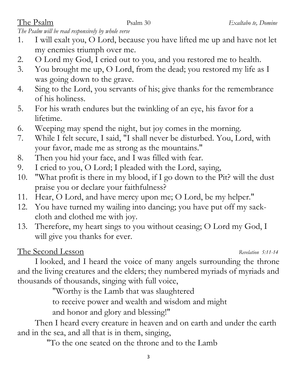*The Psalm will be read responsively by whole verse*

- 1. I will exalt you, O Lord, because you have lifted me up and have not let my enemies triumph over me.
- 2. O Lord my God, I cried out to you, and you restored me to health.
- 3. You brought me up, O Lord, from the dead; you restored my life as I was going down to the grave.
- 4. Sing to the Lord, you servants of his; give thanks for the remembrance of his holiness.
- 5. For his wrath endures but the twinkling of an eye, his favor for a lifetime.
- 6. Weeping may spend the night, but joy comes in the morning.
- 7. While I felt secure, I said, "I shall never be disturbed. You, Lord, with your favor, made me as strong as the mountains."
- 8. Then you hid your face, and I was filled with fear.
- 9. I cried to you, O Lord; I pleaded with the Lord, saying,
- 10. "What profit is there in my blood, if I go down to the Pit? will the dust praise you or declare your faithfulness?
- 11. Hear, O Lord, and have mercy upon me; O Lord, be my helper."
- 12. You have turned my wailing into dancing; you have put off my sackcloth and clothed me with joy.
- 13. Therefore, my heart sings to you without ceasing; O Lord my God, I will give you thanks for ever.

The Second Lesson*Revelation 5:11-14*

I looked, and I heard the voice of many angels surrounding the throne and the living creatures and the elders; they numbered myriads of myriads and thousands of thousands, singing with full voice,

"Worthy is the Lamb that was slaughtered

to receive power and wealth and wisdom and might

and honor and glory and blessing!"

Then I heard every creature in heaven and on earth and under the earth and in the sea, and all that is in them, singing,

"To the one seated on the throne and to the Lamb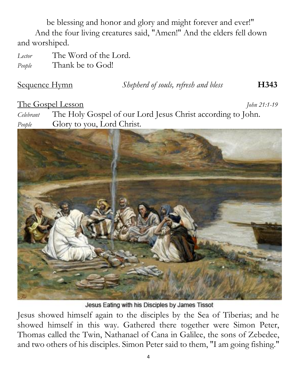be blessing and honor and glory and might forever and ever!" And the four living creatures said, "Amen!" And the elders fell down and worshiped.

*Lector* The Word of the Lord. *People* Thank be to God!

Sequence Hymn *Shepherd of souls, refresh and bless* **H343**

## The Gospel Lesson *John 21:1-19*

*Celebrant* The Holy Gospel of our Lord Jesus Christ according to John. *People* Glory to you, Lord Christ.



Jesus Eating with his Disciples by James Tissot

Jesus showed himself again to the disciples by the Sea of Tiberias; and he showed himself in this way. Gathered there together were Simon Peter, Thomas called the Twin, Nathanael of Cana in Galilee, the sons of Zebedee, and two others of his disciples. Simon Peter said to them, "I am going fishing."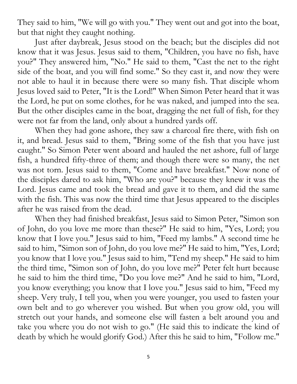They said to him, "We will go with you." They went out and got into the boat, but that night they caught nothing.

Just after daybreak, Jesus stood on the beach; but the disciples did not know that it was Jesus. Jesus said to them, "Children, you have no fish, have you?" They answered him, "No." He said to them, "Cast the net to the right side of the boat, and you will find some." So they cast it, and now they were not able to haul it in because there were so many fish. That disciple whom Jesus loved said to Peter, "It is the Lord!" When Simon Peter heard that it was the Lord, he put on some clothes, for he was naked, and jumped into the sea. But the other disciples came in the boat, dragging the net full of fish, for they were not far from the land, only about a hundred yards off.

When they had gone ashore, they saw a charcoal fire there, with fish on it, and bread. Jesus said to them, "Bring some of the fish that you have just caught." So Simon Peter went aboard and hauled the net ashore, full of large fish, a hundred fifty-three of them; and though there were so many, the net was not torn. Jesus said to them, "Come and have breakfast." Now none of the disciples dared to ask him, "Who are you?" because they knew it was the Lord. Jesus came and took the bread and gave it to them, and did the same with the fish. This was now the third time that Jesus appeared to the disciples after he was raised from the dead.

When they had finished breakfast, Jesus said to Simon Peter, "Simon son of John, do you love me more than these?" He said to him, "Yes, Lord; you know that I love you." Jesus said to him, "Feed my lambs." A second time he said to him, "Simon son of John, do you love me?" He said to him, "Yes, Lord; you know that I love you." Jesus said to him, "Tend my sheep." He said to him the third time, "Simon son of John, do you love me?" Peter felt hurt because he said to him the third time, "Do you love me?" And he said to him, "Lord, you know everything; you know that I love you." Jesus said to him, "Feed my sheep. Very truly, I tell you, when you were younger, you used to fasten your own belt and to go wherever you wished. But when you grow old, you will stretch out your hands, and someone else will fasten a belt around you and take you where you do not wish to go." (He said this to indicate the kind of death by which he would glorify God.) After this he said to him, "Follow me."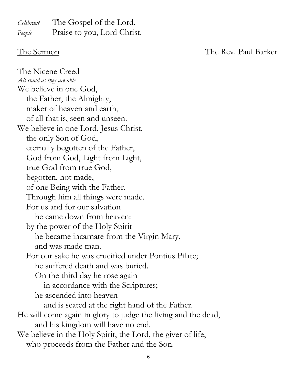*Celebrant* The Gospel of the Lord. People Praise to you, Lord Christ.

The Sermon The Rev. Paul Barker

The Nicene Creed *All stand as they are able*  We believe in one God, the Father, the Almighty, maker of heaven and earth, of all that is, seen and unseen. We believe in one Lord, Jesus Christ, the only Son of God, eternally begotten of the Father, God from God, Light from Light, true God from true God, begotten, not made, of one Being with the Father. Through him all things were made. For us and for our salvation he came down from heaven: by the power of the Holy Spirit he became incarnate from the Virgin Mary, and was made man. For our sake he was crucified under Pontius Pilate; he suffered death and was buried. On the third day he rose again in accordance with the Scriptures; he ascended into heaven and is seated at the right hand of the Father. He will come again in glory to judge the living and the dead, and his kingdom will have no end. We believe in the Holy Spirit, the Lord, the giver of life, who proceeds from the Father and the Son.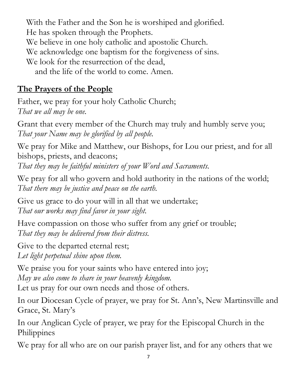With the Father and the Son he is worshiped and glorified. He has spoken through the Prophets. We believe in one holy catholic and apostolic Church. We acknowledge one baptism for the forgiveness of sins. We look for the resurrection of the dead, and the life of the world to come. Amen.

## **The Prayers of the People**

Father, we pray for your holy Catholic Church; *That we all may be one.*

Grant that every member of the Church may truly and humbly serve you; *That your Name may be glorified by all people.*

We pray for Mike and Matthew, our Bishops, for Lou our priest, and for all bishops, priests, and deacons;

*That they may be faithful ministers of your Word and Sacraments.*

We pray for all who govern and hold authority in the nations of the world; *That there may be justice and peace on the earth.*

Give us grace to do your will in all that we undertake; *That our works may find favor in your sight.*

Have compassion on those who suffer from any grief or trouble; *That they may be delivered from their distress.*

Give to the departed eternal rest; *Let light perpetual shine upon them.*

We praise you for your saints who have entered into joy; *May we also come to share in your heavenly kingdom.* Let us pray for our own needs and those of others.

In our Diocesan Cycle of prayer, we pray for St. Ann's, New Martinsville and Grace, St. Mary's

In our Anglican Cycle of prayer, we pray for the Episcopal Church in the **Philippines** 

We pray for all who are on our parish prayer list, and for any others that we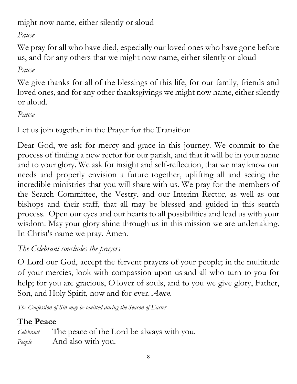might now name, either silently or aloud

*Pause*

We pray for all who have died, especially our loved ones who have gone before us, and for any others that we might now name, either silently or aloud

## *Pause*

We give thanks for all of the blessings of this life, for our family, friends and loved ones, and for any other thanksgivings we might now name, either silently or aloud.

## *Pause*

Let us join together in the Prayer for the Transition

Dear God, we ask for mercy and grace in this journey. We commit to the process of finding a new rector for our parish, and that it will be in your name and to your glory. We ask for insight and self-reflection, that we may know our needs and properly envision a future together, uplifting all and seeing the incredible ministries that you will share with us. We pray for the members of the Search Committee, the Vestry, and our Interim Rector, as well as our bishops and their staff, that all may be blessed and guided in this search process. Open our eyes and our hearts to all possibilities and lead us with your wisdom. May your glory shine through us in this mission we are undertaking. In Christ's name we pray. Amen.

## *The Celebrant concludes the prayers*

O Lord our God, accept the fervent prayers of your people; in the multitude of your mercies, look with compassion upon us and all who turn to you for help; for you are gracious, O lover of souls, and to you we give glory, Father, Son, and Holy Spirit, now and for ever. *Amen.*

*The Confession of Sin may be omitted during the Season of Easter*

## **The Peace**

*Celebrant* The peace of the Lord be always with you. *People* And also with you.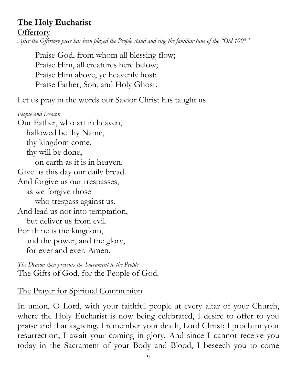## **The Holy Eucharist**

**Offertory** 

*After the Offertory piece has been played the People stand and sing the familiar tune of the "Old 100th "*

Praise God, from whom all blessing flow; Praise Him, all creatures here below; Praise Him above, ye heavenly host: Praise Father, Son, and Holy Ghost.

Let us pray in the words our Savior Christ has taught us.

*People and Deacon*

Our Father, who art in heaven, hallowed be thy Name, thy kingdom come, thy will be done, on earth as it is in heaven. Give us this day our daily bread. And forgive us our trespasses, as we forgive those who trespass against us. And lead us not into temptation, but deliver us from evil. For thine is the kingdom, and the power, and the glory, for ever and ever. Amen.

*The Deacon then presents the Sacrament to the People* The Gifts of God, for the People of God.

## The Prayer for Spiritual Communion

In union, O Lord, with your faithful people at every altar of your Church, where the Holy Eucharist is now being celebrated, I desire to offer to you praise and thanksgiving. I remember your death, Lord Christ; I proclaim your resurrection; I await your coming in glory. And since I cannot receive you today in the Sacrament of your Body and Blood, I beseech you to come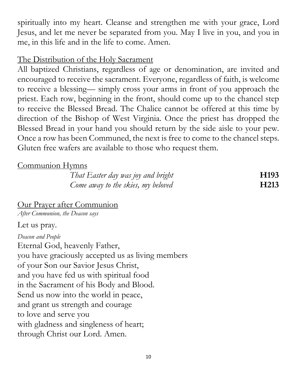spiritually into my heart. Cleanse and strengthen me with your grace, Lord Jesus, and let me never be separated from you. May I live in you, and you in me, in this life and in the life to come. Amen.

## The Distribution of the Holy Sacrament

All baptized Christians, regardless of age or denomination, are invited and encouraged to receive the sacrament. Everyone, regardless of faith, is welcome to receive a blessing— simply cross your arms in front of you approach the priest. Each row, beginning in the front, should come up to the chancel step to receive the Blessed Bread. The Chalice cannot be offered at this time by direction of the Bishop of West Virginia. Once the priest has dropped the Blessed Bread in your hand you should return by the side aisle to your pew. Once a row has been Communed, the next is free to come to the chancel steps. Gluten free wafers are available to those who request them.

## Communion Hymns

| That Easter day was joy and bright | H <sub>193</sub> |
|------------------------------------|------------------|
| Come away to the skies, my beloved | H <sub>213</sub> |

Our Prayer after Communion

*After Communion, the Deacon says*

Let us pray.

## *Deacon and People* Eternal God, heavenly Father,

you have graciously accepted us as living members of your Son our Savior Jesus Christ, and you have fed us with spiritual food in the Sacrament of his Body and Blood. Send us now into the world in peace, and grant us strength and courage to love and serve you with gladness and singleness of heart; through Christ our Lord. Amen.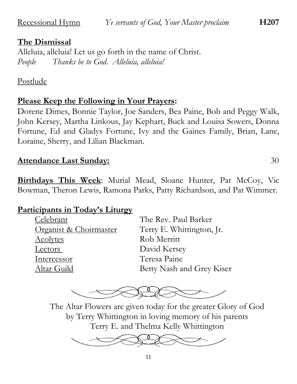### **The Dismissal**

Alleluia, alleluia! Let us go forth in the name of Christ. *People Thanks be to God. Alleluia, alleluia!*

### Postlude

## **Please Keep the Following in Your Prayers:**

Dorene Dimes, Bonnie Taylor, Joe Sanders, Bea Paine, Bob and Peggy Walk, John Kersey, Martha Linkous, Jay Kephart, Buck and Louisa Sowers, Donna Fortune, Ed and Gladys Fortune, Ivy and the Gaines Family, Brian, Lane, Loraine, Sherry, and Lilian Blackman.

## **Attendance Last Sunday:** 30

**Birthdays This Week**: Murial Mead, Sloane Hunter, Pat McCoy, Vic Bowman, Theron Lewis, Ramona Parks, Patty Richardson, and Pat Wimmer.

## **Participants in Today's Liturgy**

Acolytes Rob Merritt Lectors David Kersey Intercessor Teresa Paine

Celebrant The Rev. Paul Barker Organist & Choirmaster Terry E. Whittington, Jr. Altar Guild Betty Nash and Grey Kiser



The Altar Flowers are given today for the greater Glory of God by Terry Whittington in loving memory of his parents Terry E. and Thelma Kelly Whittington

$$
\setminus \text{O}(2\text{C})
$$